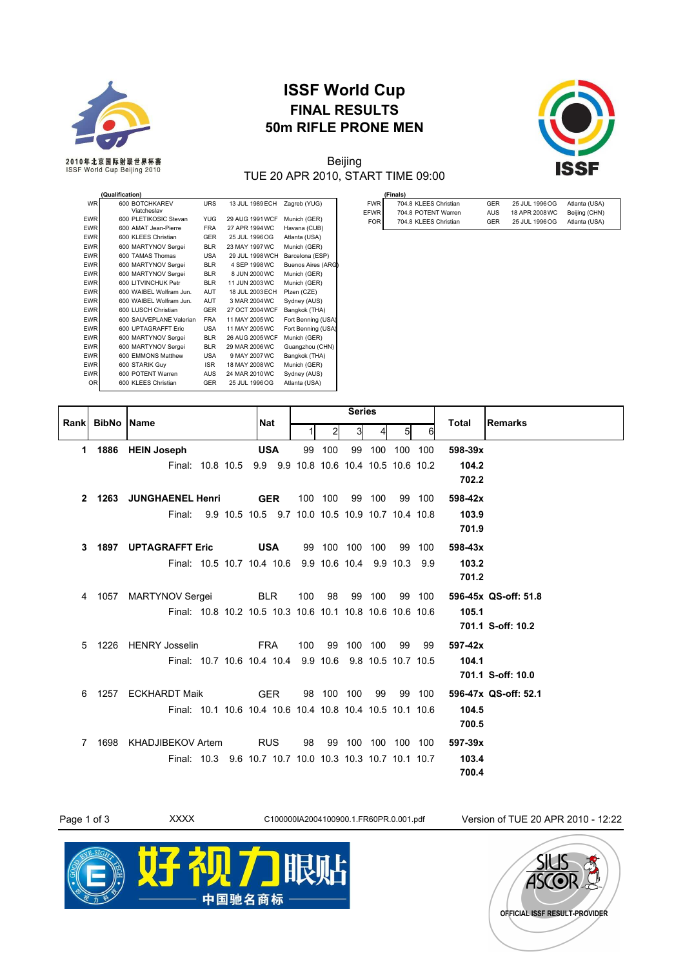

## **ISSF World Cup FINAL RESULTS 50m RIFLE PRONE MEN**



## Beijing TUE 20 APR 2010, START TIME 09:00

|                   | (Finals)              |            |                |               |
|-------------------|-----------------------|------------|----------------|---------------|
| <b>FWR</b>        | 704.8 KLEES Christian | GER        | 25 JUL 1996 OG | Atlanta (USA) |
| EFWR <sup>I</sup> | 704.8 POTENT Warren   | <b>AUS</b> | 18 APR 2008 WC | Beijing (CHN) |
| <b>FOR</b>        | 704.8 KLEES Christian | GER        | 25 JUL 1996 OG | Atlanta (USA) |

|                | <b>Qualification)</b>         |            |                 |                    |
|----------------|-------------------------------|------------|-----------------|--------------------|
| <b>WR</b>      | 600 BOTCHKAREV<br>Viatcheslav | <b>URS</b> | 13 JUL 1989 ECH | Zagreb (YUG)       |
| <b>EWR</b>     | 600 PLETIKOSIC Stevan         | <b>YUG</b> | 29 AUG 1991 WCF | Munich (GER)       |
| <b>EWR</b>     | 600 AMAT Jean-Pierre          | <b>FRA</b> | 27 APR 1994 WC  | Havana (CUB)       |
| <b>EWR</b>     | 600 KLEES Christian           | GER        | 25 JUL 1996 OG  | Atlanta (USA)      |
| <b>EWR</b>     | 600 MARTYNOV Sergei           | <b>BLR</b> | 23 MAY 1997 WC  | Munich (GER)       |
| <b>EWR</b>     | 600 TAMAS Thomas              | <b>USA</b> | 29 JUL 1998 WCH | Barcelona (ESP)    |
| <b>EWR</b>     | 600 MARTYNOV Sergei           | <b>BLR</b> | 4 SEP 1998 WC   | Buenos Aires (ARG) |
| <b>EWR</b>     | 600 MARTYNOV Sergei           | <b>BLR</b> | 8 JUN 2000 WC   | Munich (GER)       |
| <b>EWR</b>     | 600 LITVINCHUK Petr           | <b>BLR</b> | 11 JUN 2003 WC  | Munich (GER)       |
| <b>EWR</b>     | 600 WAIBEL Wolfram Jun.       | <b>AUT</b> | 18 JUL 2003 ECH | Plzen (CZE)        |
| <b>EWR</b>     | 600 WAIBEL Wolfram Jun.       | AUT        | 3 MAR 2004 WC   | Sydney (AUS)       |
| <b>EWR</b>     | 600 LUSCH Christian           | <b>GER</b> | 27 OCT 2004 WCF | Bangkok (THA)      |
| <b>EWR</b>     | 600 SAUVEPLANE Valerian       | <b>FRA</b> | 11 MAY 2005 WC  | Fort Benning (USA) |
| <b>EWR</b>     | 600 UPTAGRAFFT Eric           | <b>USA</b> | 11 MAY 2005 WC  | Fort Benning (USA) |
| <b>EWR</b>     | 600 MARTYNOV Sergei           | <b>BLR</b> | 26 AUG 2005 WCF | Munich (GER)       |
| <b>EWR</b>     | 600 MARTYNOV Sergei           | <b>BLR</b> | 29 MAR 2006 WC  | Guangzhou (CHN)    |
| <b>EWR</b>     | 600 EMMONS Matthew            | <b>USA</b> | 9 MAY 2007 WC   | Bangkok (THA)      |
| <b>EWR</b>     | 600 STARIK Guy                | <b>ISR</b> | 18 MAY 2008 WC  | Munich (GER)       |
| <b>EWR</b>     | 600 POTENT Warren             | <b>AUS</b> | 24 MAR 2010 WC  | Sydney (AUS)       |
| 0 <sub>R</sub> | 600 KLEES Christian           | <b>GER</b> | 25 JUL 1996 OG  | Atlanta (USA)      |

| Rankl |                   |                                                           |            | <b>Series</b> |                |     |         |                    |         | Total   | <b>Remarks</b>       |
|-------|-------------------|-----------------------------------------------------------|------------|---------------|----------------|-----|---------|--------------------|---------|---------|----------------------|
|       | <b>BibNo Name</b> |                                                           | Nat        |               | 2              | 3   |         | 5                  | 6       |         |                      |
|       | 1 1886            | <b>HEIN Joseph</b>                                        | <b>USA</b> | 99            | 100            | 99  | 100     |                    | 100 100 | 598-39x |                      |
|       |                   | Final: 10.8 10.5 9.9 9.9 10.8 10.6 10.4 10.5 10.6 10.2    |            |               |                |     |         |                    |         | 104.2   |                      |
|       |                   |                                                           |            |               |                |     |         |                    |         | 702.2   |                      |
|       |                   | 2 1263 JUNGHAENEL Henri                                   | <b>GER</b> |               | 100 100        |     | 99 100  |                    | 99 100  | 598-42x |                      |
|       |                   | 9.9 10.5 10.5 9.7 10.0 10.5 10.9 10.7 10.4 10.8<br>Final: |            |               |                |     |         |                    |         | 103.9   |                      |
|       |                   |                                                           |            |               |                |     |         |                    |         | 701.9   |                      |
| 3     |                   | <b>1897 UPTAGRAFFT Eric</b>                               | <b>USA</b> |               | 99 100 100 100 |     |         |                    | 99 100  | 598-43x |                      |
|       |                   | Final: 10.5 10.7 10.4 10.6 9.9 10.6 10.4 9.9 10.3 9.9     |            |               |                |     |         |                    |         | 103.2   |                      |
|       |                   |                                                           |            |               |                |     |         |                    |         | 701.2   |                      |
| 4     | 1057              | <b>MARTYNOV Sergei</b>                                    | <b>BLR</b> | 100           | 98             |     | 99 100  |                    | 99 100  |         | 596-45x QS-off: 51.8 |
|       |                   | Final: 10.8 10.2 10.5 10.3 10.6 10.1 10.8 10.6 10.6 10.6  |            |               |                |     |         |                    |         | 105.1   |                      |
|       |                   |                                                           |            |               |                |     |         |                    |         |         | 701.1 S-off: 10.2    |
| 5     | 1226              | <b>HENRY Josselin</b>                                     | <b>FRA</b> | 100           | 99             | 100 | 100     | 99                 | 99      | 597-42x |                      |
|       |                   | Final: 10.7 10.6 10.4 10.4 9.9 10.6                       |            |               |                |     |         | 9.8 10.5 10.7 10.5 |         | 104.1   |                      |
|       |                   |                                                           |            |               |                |     |         |                    |         |         | 701.1 S-off: 10.0    |
| 6     | 1257              | <b>ECKHARDT Maik</b>                                      | <b>GER</b> |               | 98 100 100     |     | 99      |                    | 99 100  |         | 596-47x QS-off: 52.1 |
|       |                   | Final: 10.1 10.6 10.4 10.6 10.4 10.8 10.4 10.5 10.1 10.6  |            |               |                |     |         |                    |         | 104.5   |                      |
|       |                   |                                                           |            |               |                |     |         |                    |         | 700.5   |                      |
| 7     | 1698              | KHADJIBEKOV Artem                                         | <b>RUS</b> | 98            | 99             |     | 100 100 | 100 100            |         | 597-39x |                      |
|       |                   | Final: 10.3 9.6 10.7 10.7 10.0 10.3 10.3 10.7 10.1 10.7   |            |               |                |     |         |                    |         | 103.4   |                      |
|       |                   |                                                           |            |               |                |     |         |                    |         | 700.4   |                      |



中国驰名商标

**OFFICIAL ISSF RESULT-PROVIDER**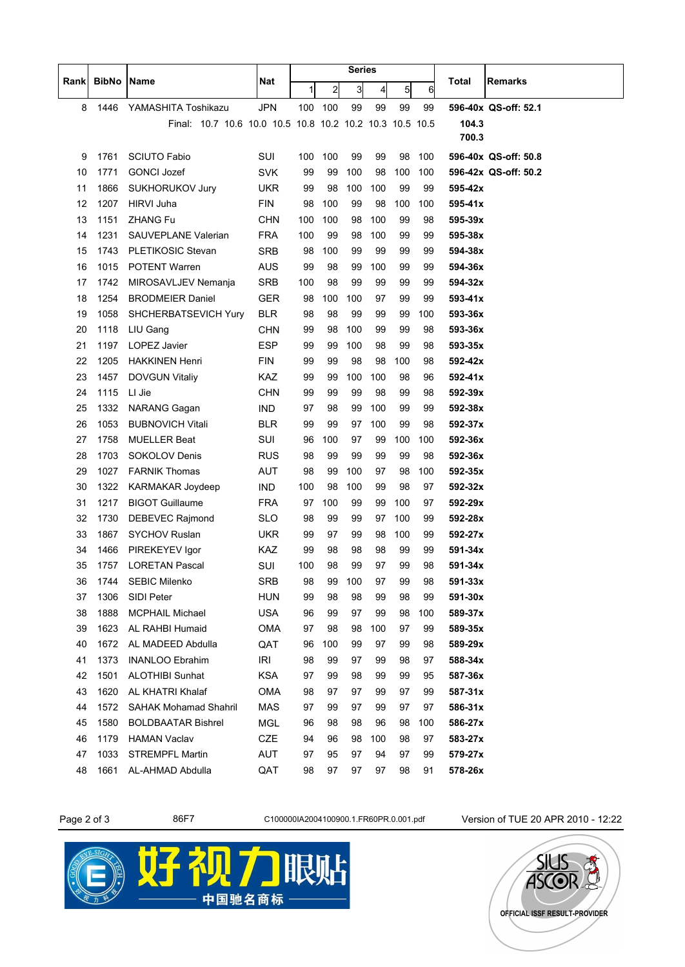|          |              | Name                                                     | <b>Nat</b>        | <b>Series</b> |                |          |          |            |          |                    |                      |
|----------|--------------|----------------------------------------------------------|-------------------|---------------|----------------|----------|----------|------------|----------|--------------------|----------------------|
| Rank     | <b>BibNo</b> |                                                          |                   | 1             | $\overline{a}$ | 3        | 4        | 5          | 6        | Total              | <b>Remarks</b>       |
| 8        | 1446         | YAMASHITA Toshikazu                                      | <b>JPN</b>        | 100           | 100            | 99       | 99       | 99         | 99       |                    | 596-40x QS-off: 52.1 |
|          |              | Final: 10.7 10.6 10.0 10.5 10.8 10.2 10.2 10.3 10.5 10.5 |                   |               |                |          |          |            |          | 104.3              |                      |
|          |              |                                                          |                   |               |                |          |          |            |          | 700.3              |                      |
| 9        | 1761         | <b>SCIUTO Fabio</b>                                      | SUI               | 100           | 100            | 99       | 99       | 98         | 100      |                    | 596-40x QS-off: 50.8 |
| 10       | 1771         | <b>GONCI Jozef</b>                                       | <b>SVK</b>        | 99            | 99             | 100      | 98       | 100        | 100      |                    | 596-42x QS-off: 50.2 |
| 11       | 1866         | <b>SUKHORUKOV Jury</b>                                   | UKR               | 99            | 98             | 100      | 100      | 99         | 99       | 595-42x            |                      |
| 12       | 1207         | <b>HIRVI Juha</b>                                        | <b>FIN</b>        | 98            | 100            | 99       | 98       | 100        | 100      | 595-41x            |                      |
| 13       | 1151         | <b>ZHANG Fu</b>                                          | <b>CHN</b>        | 100           | 100            | 98       | 100      | 99         | 98       | 595-39x            |                      |
| 14       | 1231         | SAUVEPLANE Valerian                                      | <b>FRA</b>        | 100           | 99             | 98       | 100      | 99         | 99       | 595-38x            |                      |
| 15       | 1743         | PLETIKOSIC Stevan                                        | <b>SRB</b>        | 98            | 100            | 99       | 99       | 99         | 99       | 594-38x            |                      |
| 16       | 1015         | <b>POTENT Warren</b>                                     | <b>AUS</b>        | 99            | 98             | 99       | 100      | 99         | 99       | 594-36x            |                      |
| 17       | 1742         | MIROSAVLJEV Nemanja                                      | <b>SRB</b>        | 100           | 98             | 99       | 99       | 99         | 99       | 594-32x            |                      |
| 18       | 1254         | <b>BRODMEIER Daniel</b>                                  | <b>GER</b>        | 98            | 100            | 100      | 97       | 99         | 99       | 593-41x            |                      |
| 19       | 1058         | SHCHERBATSEVICH Yury                                     | <b>BLR</b>        | 98            | 98             | 99       | 99       | 99         | 100      | 593-36x            |                      |
| 20       | 1118         | LIU Gang                                                 | <b>CHN</b>        | 99            | 98             | 100      | 99       | 99         | 98       | 593-36x            |                      |
| 21       | 1197         | LOPEZ Javier                                             | <b>ESP</b>        | 99            | 99             | 100      | 98       | 99         | 98       | 593-35x            |                      |
| 22       | 1205         | <b>HAKKINEN Henri</b>                                    | <b>FIN</b>        | 99            | 99             | 98       | 98       | 100        | 98       | 592-42x            |                      |
| 23       | 1457         | <b>DOVGUN Vitaliy</b>                                    | KAZ               | 99            | 99             | 100      | 100      | 98         | 96       | 592-41x            |                      |
| 24       | 1115         | LI Jie                                                   | <b>CHN</b>        | 99            | 99             | 99       | 98       | 99         | 98       | 592-39x            |                      |
| 25       | 1332         | <b>NARANG Gagan</b>                                      | <b>IND</b>        | 97            | 98             | 99       | 100      | 99         | 99       | 592-38x            |                      |
| 26       | 1053         | <b>BUBNOVICH Vitali</b>                                  | <b>BLR</b>        | 99            | 99             | 97       | 100      | 99         | 98       | 592-37x            |                      |
| 27       | 1758         | <b>MUELLER Beat</b>                                      | SUI               | 96            | 100            | 97       | 99       | 100        | 100      | 592-36x            |                      |
| 28       | 1703         | <b>SOKOLOV Denis</b>                                     | <b>RUS</b>        | 98            | 99             | 99       | 99       | 99         | 98       | 592-36x            |                      |
| 29       | 1027         | <b>FARNIK Thomas</b>                                     | <b>AUT</b>        | 98            | 99             | 100      | 97       | 98         | 100      | 592-35x            |                      |
| 30       | 1322         | KARMAKAR Joydeep                                         | IND               | 100           | 98             | 100      | 99       | 98         | 97       | 592-32x            |                      |
| 31       | 1217         | <b>BIGOT Guillaume</b><br><b>DEBEVEC Rajmond</b>         | <b>FRA</b>        | 97            | 100            | 99       | 99       | 100        | 97       | 592-29x            |                      |
| 32<br>33 | 1730<br>1867 | <b>SYCHOV Ruslan</b>                                     | SLO<br><b>UKR</b> | 98<br>99      | 99<br>97       | 99<br>99 | 97<br>98 | 100<br>100 | 99<br>99 | 592-28x<br>592-27x |                      |
| 34       | 1466         | PIREKEYEV Igor                                           | <b>KAZ</b>        | 99            | 98             | 98       | 98       | 99         | 99       | 591-34x            |                      |
| 35       | 1757         | <b>LORETAN Pascal</b>                                    | SUI               | 100           | 98             | 99       | 97       | 99         | 98       | 591-34x            |                      |
| 36       | 1744         | <b>SEBIC Milenko</b>                                     | SRB               | 98            | 99             | 100      | 97       | 99         | 98       | 591-33x            |                      |
| 37       | 1306         | SIDI Peter                                               | <b>HUN</b>        | 99            | 98             | 98       | 99       | 98         | 99       | 591-30x            |                      |
| 38       | 1888         | <b>MCPHAIL Michael</b>                                   | USA               | 96            | 99             | 97       | 99       | 98         | 100      | 589-37x            |                      |
| 39       | 1623         | AL RAHBI Humaid                                          | OMA               | 97            | 98             | 98       | 100      | 97         | 99       | 589-35x            |                      |
| 40       | 1672         | AL MADEED Abdulla                                        | QAT               | 96            | 100            | 99       | 97       | 99         | 98       | 589-29x            |                      |
| 41       | 1373         | <b>INANLOO Ebrahim</b>                                   | IRI               | 98            | 99             | 97       | 99       | 98         | 97       | 588-34x            |                      |
| 42       | 1501         | <b>ALOTHIBI Sunhat</b>                                   | <b>KSA</b>        | 97            | 99             | 98       | 99       | 99         | 95       | 587-36x            |                      |
| 43       | 1620         | AL KHATRI Khalaf                                         | <b>OMA</b>        | 98            | 97             | 97       | 99       | 97         | 99       | 587-31x            |                      |
| 44       | 1572         | <b>SAHAK Mohamad Shahril</b>                             | MAS               | 97            | 99             | 97       | 99       | 97         | 97       | 586-31x            |                      |
| 45       | 1580         | <b>BOLDBAATAR Bishrel</b>                                | MGL               | 96            | 98             | 98       | 96       | 98         | 100      | 586-27x            |                      |
| 46       | 1179         | <b>HAMAN Vaclav</b>                                      | CZE               | 94            | 96             | 98       | 100      | 98         | 97       | 583-27x            |                      |
| 47       | 1033         | <b>STREMPFL Martin</b>                                   | AUT               | 97            | 95             | 97       | 94       | 97         | 99       | 579-27x            |                      |
| 48       | 1661         | AL-AHMAD Abdulla                                         | QAT               | 98            | 97             | 97       | 97       | 98         | 91       | 578-26x            |                      |

Page 2 of 3 86F7 61000001A2004100900.1.FR60PR.0.001.pdf Version of TUE 20 APR 2010 - 12:22